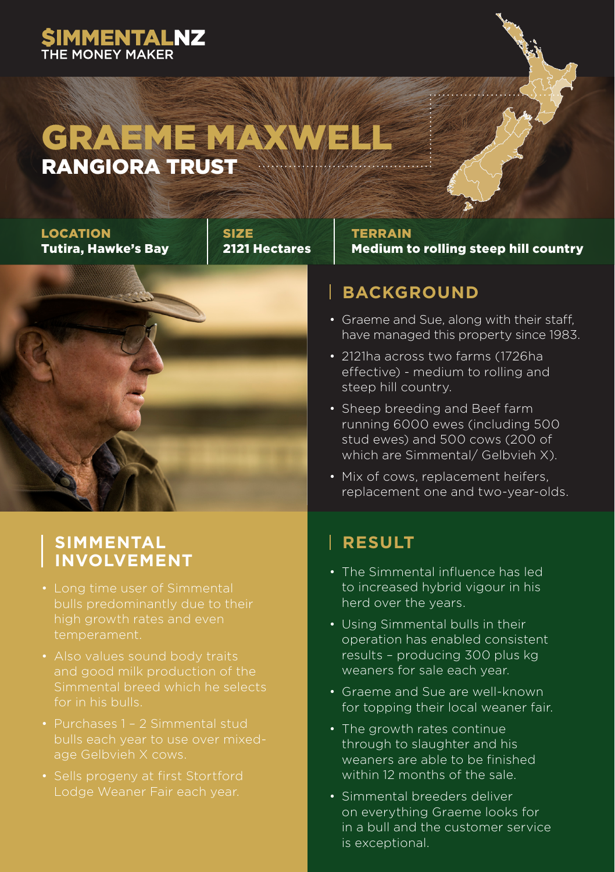### **SIMMENTALNZ**

### GRAEME MAXWEL RANGIORA TRUST

LOCATION Tutira, Hawke's Bay





#### **TERRAIN** Medium to rolling steep hill country

### **BACKGROUND**

- Graeme and Sue, along with their staff, have managed this property since 1983.
- 2121ha across two farms (1726ha effective) - medium to rolling and steep hill country.
- Sheep breeding and Beef farm running 6000 ewes (including 500 stud ewes) and 500 cows (200 of which are Simmental/ Gelbvieh X).
- Mix of cows, replacement heifers, replacement one and two-year-olds.

## **SIMMENTAL**

- temperament.
- 
- 
- 

### **RESULT**

- The Simmental influence has led to increased hybrid vigour in his herd over the years.
- Using Simmental bulls in their operation has enabled consistent results – producing 300 plus kg weaners for sale each year.
- Graeme and Sue are well-known for topping their local weaner fair.
- The growth rates continue through to slaughter and his weaners are able to be finished within 12 months of the sale.
- Simmental breeders deliver on everything Graeme looks for in a bull and the customer service is exceptional.